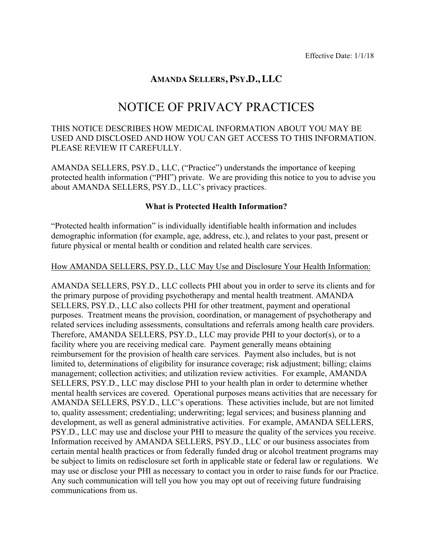# **AMANDA SELLERS, PSY.D., LLC**

# NOTICE OF PRIVACY PRACTICES

# THIS NOTICE DESCRIBES HOW MEDICAL INFORMATION ABOUT YOU MAY BE USED AND DISCLOSED AND HOW YOU CAN GET ACCESS TO THIS INFORMATION. PLEASE REVIEW IT CAREFULLY.

AMANDA SELLERS, PSY.D., LLC, ("Practice") understands the importance of keeping protected health information ("PHI") private. We are providing this notice to you to advise you about AMANDA SELLERS, PSY.D., LLC's privacy practices.

#### **What is Protected Health Information?**

"Protected health information" is individually identifiable health information and includes demographic information (for example, age, address, etc.), and relates to your past, present or future physical or mental health or condition and related health care services.

#### How AMANDA SELLERS, PSY.D., LLC May Use and Disclosure Your Health Information:

AMANDA SELLERS, PSY.D., LLC collects PHI about you in order to serve its clients and for the primary purpose of providing psychotherapy and mental health treatment. AMANDA SELLERS, PSY.D., LLC also collects PHI for other treatment, payment and operational purposes. Treatment means the provision, coordination, or management of psychotherapy and related services including assessments, consultations and referrals among health care providers. Therefore, AMANDA SELLERS, PSY.D., LLC may provide PHI to your doctor(s), or to a facility where you are receiving medical care. Payment generally means obtaining reimbursement for the provision of health care services. Payment also includes, but is not limited to, determinations of eligibility for insurance coverage; risk adjustment; billing; claims management; collection activities; and utilization review activities. For example, AMANDA SELLERS, PSY.D., LLC may disclose PHI to your health plan in order to determine whether mental health services are covered. Operational purposes means activities that are necessary for AMANDA SELLERS, PSY.D., LLC's operations. These activities include, but are not limited to, quality assessment; credentialing; underwriting; legal services; and business planning and development, as well as general administrative activities. For example, AMANDA SELLERS, PSY.D., LLC may use and disclose your PHI to measure the quality of the services you receive. Information received by AMANDA SELLERS, PSY.D., LLC or our business associates from certain mental health practices or from federally funded drug or alcohol treatment programs may be subject to limits on redisclosure set forth in applicable state or federal law or regulations. We may use or disclose your PHI as necessary to contact you in order to raise funds for our Practice. Any such communication will tell you how you may opt out of receiving future fundraising communications from us.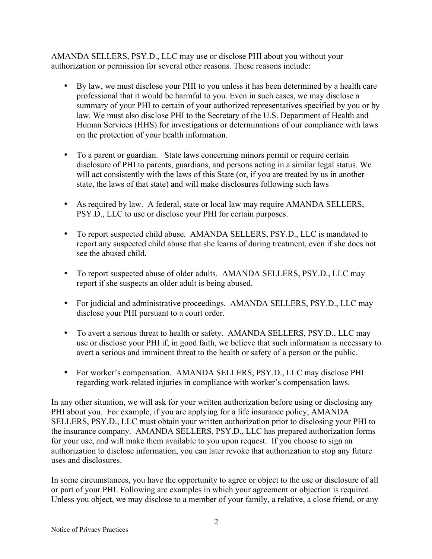AMANDA SELLERS, PSY.D., LLC may use or disclose PHI about you without your authorization or permission for several other reasons. These reasons include:

- By law, we must disclose your PHI to you unless it has been determined by a health care professional that it would be harmful to you. Even in such cases, we may disclose a summary of your PHI to certain of your authorized representatives specified by you or by law. We must also disclose PHI to the Secretary of the U.S. Department of Health and Human Services (HHS) for investigations or determinations of our compliance with laws on the protection of your health information.
- To a parent or guardian. State laws concerning minors permit or require certain disclosure of PHI to parents, guardians, and persons acting in a similar legal status. We will act consistently with the laws of this State (or, if you are treated by us in another state, the laws of that state) and will make disclosures following such laws
- As required by law. A federal, state or local law may require AMANDA SELLERS, PSY.D., LLC to use or disclose your PHI for certain purposes.
- To report suspected child abuse. AMANDA SELLERS, PSY.D., LLC is mandated to report any suspected child abuse that she learns of during treatment, even if she does not see the abused child.
- To report suspected abuse of older adults. AMANDA SELLERS, PSY.D., LLC may report if she suspects an older adult is being abused.
- For judicial and administrative proceedings. AMANDA SELLERS, PSY.D., LLC may disclose your PHI pursuant to a court order.
- To avert a serious threat to health or safety. AMANDA SELLERS, PSY.D., LLC may use or disclose your PHI if, in good faith, we believe that such information is necessary to avert a serious and imminent threat to the health or safety of a person or the public.
- For worker's compensation. AMANDA SELLERS, PSY.D., LLC may disclose PHI regarding work-related injuries in compliance with worker's compensation laws.

In any other situation, we will ask for your written authorization before using or disclosing any PHI about you. For example, if you are applying for a life insurance policy, AMANDA SELLERS, PSY.D., LLC must obtain your written authorization prior to disclosing your PHI to the insurance company. AMANDA SELLERS, PSY.D., LLC has prepared authorization forms for your use, and will make them available to you upon request. If you choose to sign an authorization to disclose information, you can later revoke that authorization to stop any future uses and disclosures.

In some circumstances, you have the opportunity to agree or object to the use or disclosure of all or part of your PHI. Following are examples in which your agreement or objection is required. Unless you object, we may disclose to a member of your family, a relative, a close friend, or any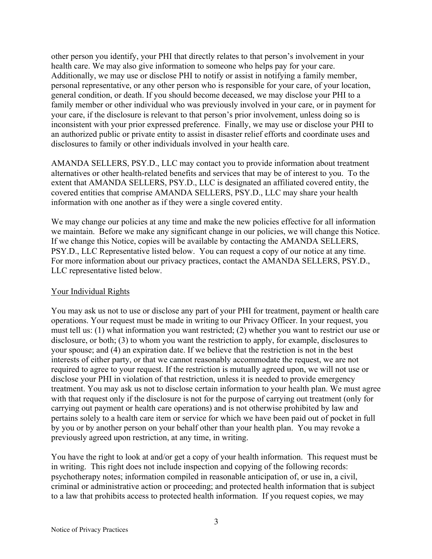other person you identify, your PHI that directly relates to that person's involvement in your health care. We may also give information to someone who helps pay for your care. Additionally, we may use or disclose PHI to notify or assist in notifying a family member, personal representative, or any other person who is responsible for your care, of your location, general condition, or death. If you should become deceased, we may disclose your PHI to a family member or other individual who was previously involved in your care, or in payment for your care, if the disclosure is relevant to that person's prior involvement, unless doing so is inconsistent with your prior expressed preference. Finally, we may use or disclose your PHI to an authorized public or private entity to assist in disaster relief efforts and coordinate uses and disclosures to family or other individuals involved in your health care.

AMANDA SELLERS, PSY.D., LLC may contact you to provide information about treatment alternatives or other health-related benefits and services that may be of interest to you. To the extent that AMANDA SELLERS, PSY.D., LLC is designated an affiliated covered entity, the covered entities that comprise AMANDA SELLERS, PSY.D., LLC may share your health information with one another as if they were a single covered entity.

We may change our policies at any time and make the new policies effective for all information we maintain. Before we make any significant change in our policies, we will change this Notice. If we change this Notice, copies will be available by contacting the AMANDA SELLERS, PSY.D., LLC Representative listed below. You can request a copy of our notice at any time. For more information about our privacy practices, contact the AMANDA SELLERS, PSY.D., LLC representative listed below.

# Your Individual Rights

You may ask us not to use or disclose any part of your PHI for treatment, payment or health care operations. Your request must be made in writing to our Privacy Officer. In your request, you must tell us: (1) what information you want restricted; (2) whether you want to restrict our use or disclosure, or both; (3) to whom you want the restriction to apply, for example, disclosures to your spouse; and (4) an expiration date. If we believe that the restriction is not in the best interests of either party, or that we cannot reasonably accommodate the request, we are not required to agree to your request. If the restriction is mutually agreed upon, we will not use or disclose your PHI in violation of that restriction, unless it is needed to provide emergency treatment. You may ask us not to disclose certain information to your health plan. We must agree with that request only if the disclosure is not for the purpose of carrying out treatment (only for carrying out payment or health care operations) and is not otherwise prohibited by law and pertains solely to a health care item or service for which we have been paid out of pocket in full by you or by another person on your behalf other than your health plan. You may revoke a previously agreed upon restriction, at any time, in writing.

You have the right to look at and/or get a copy of your health information. This request must be in writing. This right does not include inspection and copying of the following records: psychotherapy notes; information compiled in reasonable anticipation of, or use in, a civil, criminal or administrative action or proceeding; and protected health information that is subject to a law that prohibits access to protected health information. If you request copies, we may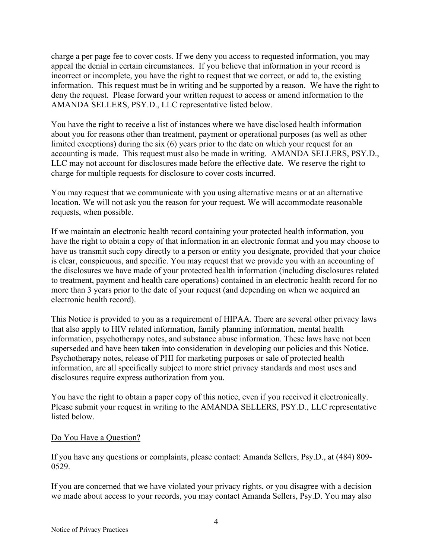charge a per page fee to cover costs. If we deny you access to requested information, you may appeal the denial in certain circumstances. If you believe that information in your record is incorrect or incomplete, you have the right to request that we correct, or add to, the existing information. This request must be in writing and be supported by a reason. We have the right to deny the request. Please forward your written request to access or amend information to the AMANDA SELLERS, PSY.D., LLC representative listed below.

You have the right to receive a list of instances where we have disclosed health information about you for reasons other than treatment, payment or operational purposes (as well as other limited exceptions) during the six (6) years prior to the date on which your request for an accounting is made. This request must also be made in writing. AMANDA SELLERS, PSY.D., LLC may not account for disclosures made before the effective date. We reserve the right to charge for multiple requests for disclosure to cover costs incurred.

You may request that we communicate with you using alternative means or at an alternative location. We will not ask you the reason for your request. We will accommodate reasonable requests, when possible.

If we maintain an electronic health record containing your protected health information, you have the right to obtain a copy of that information in an electronic format and you may choose to have us transmit such copy directly to a person or entity you designate, provided that your choice is clear, conspicuous, and specific. You may request that we provide you with an accounting of the disclosures we have made of your protected health information (including disclosures related to treatment, payment and health care operations) contained in an electronic health record for no more than 3 years prior to the date of your request (and depending on when we acquired an electronic health record).

This Notice is provided to you as a requirement of HIPAA. There are several other privacy laws that also apply to HIV related information, family planning information, mental health information, psychotherapy notes, and substance abuse information. These laws have not been superseded and have been taken into consideration in developing our policies and this Notice. Psychotherapy notes, release of PHI for marketing purposes or sale of protected health information, are all specifically subject to more strict privacy standards and most uses and disclosures require express authorization from you.

You have the right to obtain a paper copy of this notice, even if you received it electronically. Please submit your request in writing to the AMANDA SELLERS, PSY.D., LLC representative listed below.

# Do You Have a Question?

If you have any questions or complaints, please contact: Amanda Sellers, Psy.D., at (484) 809- 0529.

If you are concerned that we have violated your privacy rights, or you disagree with a decision we made about access to your records, you may contact Amanda Sellers, Psy.D. You may also